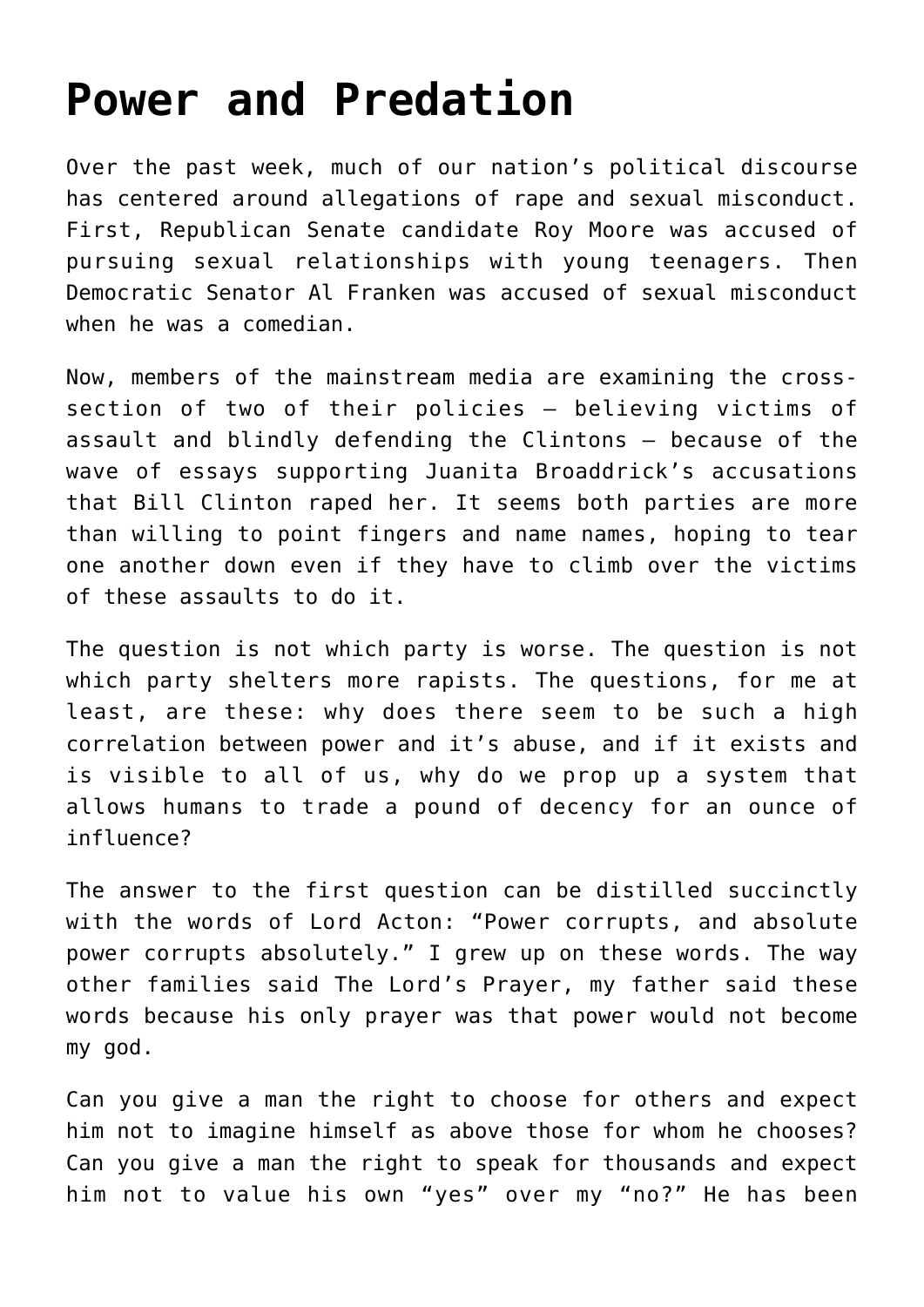## **[Power and Predation](https://intellectualtakeout.org/2017/11/power-and-predation/)**

Over the past week, much of our nation's political discourse has centered around allegations of rape and sexual misconduct. First, Republican Senate candidate Roy Moore was accused of pursuing sexual relationships with young teenagers. Then Democratic Senator Al Franken was accused of sexual misconduct when he was a comedian.

Now, members of the mainstream media are examining the crosssection of two of their policies – believing victims of assault and blindly defending the Clintons – because of the wave of essays supporting Juanita Broaddrick's accusations that Bill Clinton raped her. It seems both parties are more than willing to point fingers and name names, hoping to tear one another down even if they have to climb over the victims of these assaults to do it.

The question is not which party is worse. The question is not which party shelters more rapists. The questions, for me at least, are these: why does there seem to be such a high correlation between power and it's abuse, and if it exists and is visible to all of us, why do we prop up a system that allows humans to trade a pound of decency for an ounce of influence?

The answer to the first question can be distilled succinctly with the words of Lord Acton: "Power corrupts, and absolute power corrupts absolutely." I grew up on these words. The way other families said The Lord's Prayer, my father said these words because his only prayer was that power would not become my god.

Can you give a man the right to choose for others and expect him not to imagine himself as above those for whom he chooses? Can you give a man the right to speak for thousands and expect him not to value his own "yes" over my "no?" He has been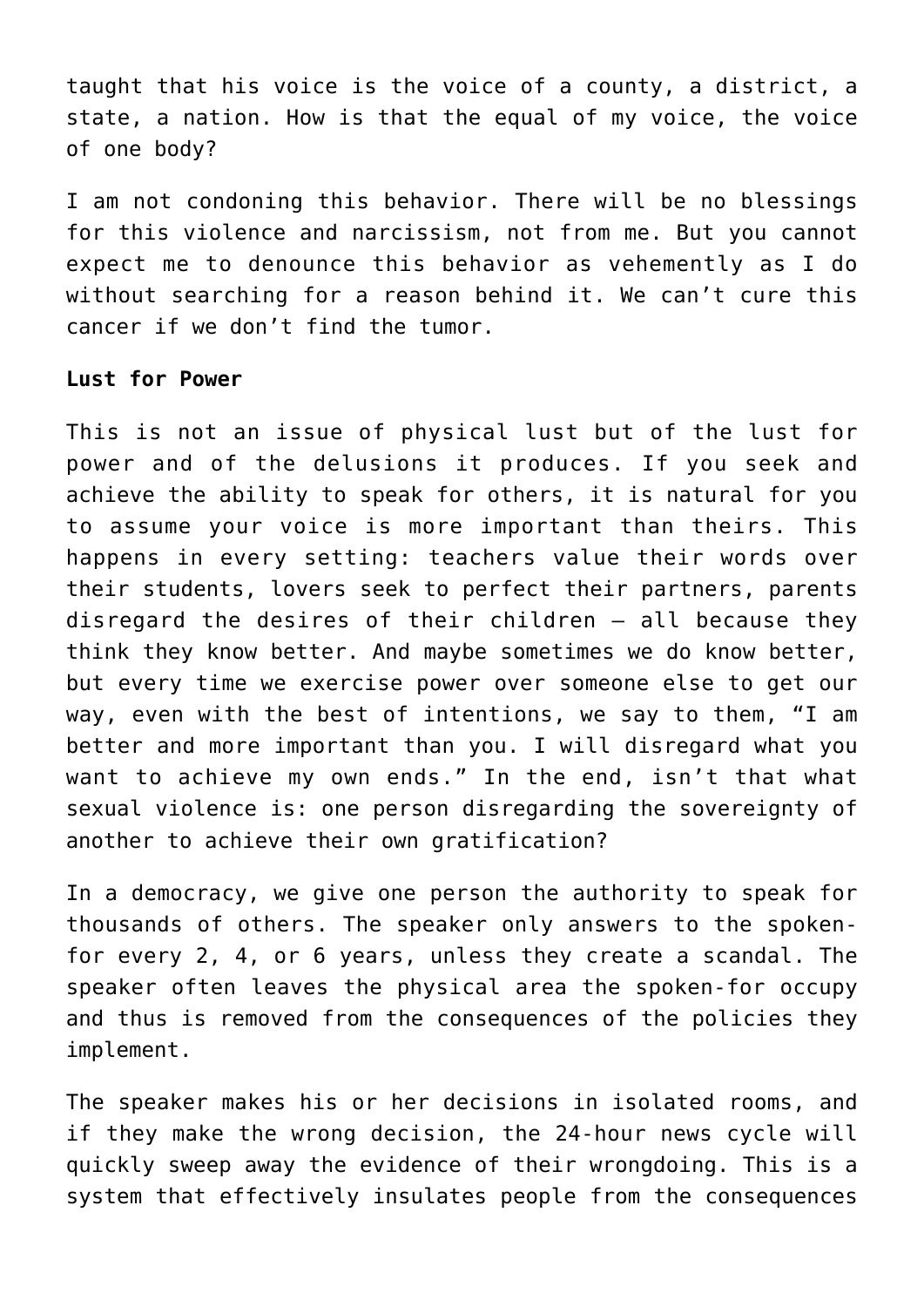taught that his voice is the voice of a county, a district, a state, a nation. How is that the equal of my voice, the voice of one body?

I am not condoning this behavior. There will be no blessings for this violence and narcissism, not from me. But you cannot expect me to denounce this behavior as vehemently as I do without searching for a reason behind it. We can't cure this cancer if we don't find the tumor.

## **Lust for Power**

This is not an issue of physical lust but of the lust for power and of the delusions it produces. If you seek and achieve the ability to speak for others, it is natural for you to assume your voice is more important than theirs. This happens in every setting: teachers value their words over their students, lovers seek to perfect their partners, parents disregard the desires of their children – all because they think they know better. And maybe sometimes we do know better, but every time we exercise power over someone else to get our way, even with the best of intentions, we say to them, "I am better and more important than you. I will disregard what you want to achieve my own ends." In the end, isn't that what sexual violence is: one person disregarding the sovereignty of another to achieve their own gratification?

In a democracy, we give one person the authority to speak for thousands of others. The speaker only answers to the spokenfor every 2, 4, or 6 years, unless they create a scandal. The speaker often leaves the physical area the spoken-for occupy and thus is removed from the consequences of the policies they implement.

The speaker makes his or her decisions in isolated rooms, and if they make the wrong decision, the 24-hour news cycle will quickly sweep away the evidence of their wrongdoing. This is a system that effectively insulates people from the consequences